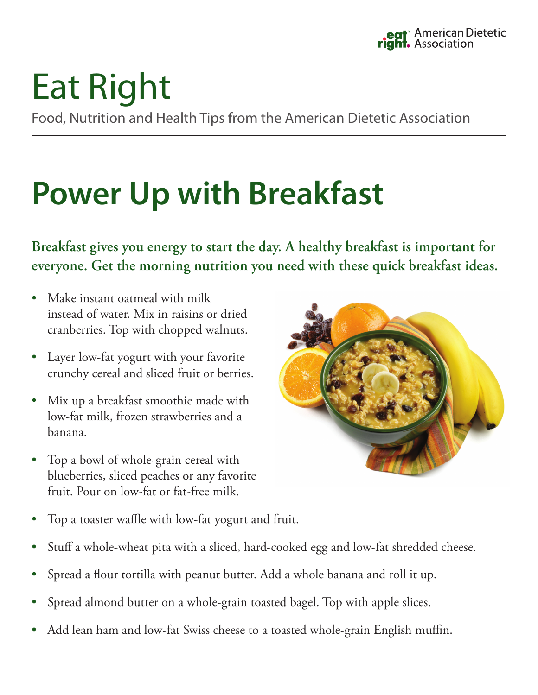## Eat Right

Food, Nutrition and Health Tips from the American Dietetic Association

## **Power Up with Breakfast**

**Breakfast gives you energy to start the day. A healthy breakfast is important for everyone. Get the morning nutrition you need with these quick breakfast ideas.**

- Make instant oatmeal with milk instead of water. Mix in raisins or dried cranberries. Top with chopped walnuts.
- Layer low-fat yogurt with your favorite crunchy cereal and sliced fruit or berries.
- Mix up a breakfast smoothie made with low-fat milk, frozen strawberries and a banana.
- • Top a bowl of whole-grain cereal with blueberries, sliced peaches or any favorite fruit. Pour on low-fat or fat-free milk.



- • Top a toaster waffle with low-fat yogurt and fruit.
- Stuff a whole-wheat pita with a sliced, hard-cooked egg and low-fat shredded cheese.
- Spread a flour tortilla with peanut butter. Add a whole banana and roll it up.
- Spread almond butter on a whole-grain toasted bagel. Top with apple slices.
- Add lean ham and low-fat Swiss cheese to a toasted whole-grain English muffin.